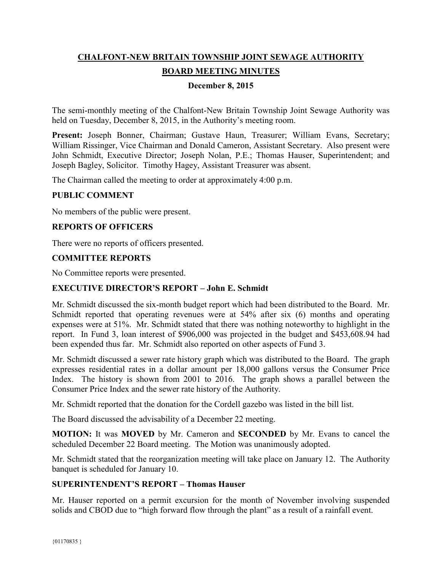# **CHALFONT-NEW BRITAIN TOWNSHIP JOINT SEWAGE AUTHORITY BOARD MEETING MINUTES**

## **December 8, 2015**

The semi-monthly meeting of the Chalfont-New Britain Township Joint Sewage Authority was held on Tuesday, December 8, 2015, in the Authority's meeting room.

Present: Joseph Bonner, Chairman; Gustave Haun, Treasurer; William Evans, Secretary; William Rissinger, Vice Chairman and Donald Cameron, Assistant Secretary. Also present were John Schmidt, Executive Director; Joseph Nolan, P.E.; Thomas Hauser, Superintendent; and Joseph Bagley, Solicitor. Timothy Hagey, Assistant Treasurer was absent.

The Chairman called the meeting to order at approximately 4:00 p.m.

## **PUBLIC COMMENT**

No members of the public were present.

## **REPORTS OF OFFICERS**

There were no reports of officers presented.

## **COMMITTEE REPORTS**

No Committee reports were presented.

# **EXECUTIVE DIRECTOR'S REPORT – John E. Schmidt**

Mr. Schmidt discussed the six-month budget report which had been distributed to the Board. Mr. Schmidt reported that operating revenues were at 54% after six (6) months and operating expenses were at 51%. Mr. Schmidt stated that there was nothing noteworthy to highlight in the report. In Fund 3, loan interest of \$906,000 was projected in the budget and \$453,608.94 had been expended thus far. Mr. Schmidt also reported on other aspects of Fund 3.

Mr. Schmidt discussed a sewer rate history graph which was distributed to the Board. The graph expresses residential rates in a dollar amount per 18,000 gallons versus the Consumer Price Index. The history is shown from 2001 to 2016. The graph shows a parallel between the Consumer Price Index and the sewer rate history of the Authority.

Mr. Schmidt reported that the donation for the Cordell gazebo was listed in the bill list.

The Board discussed the advisability of a December 22 meeting.

**MOTION:** It was **MOVED** by Mr. Cameron and **SECONDED** by Mr. Evans to cancel the scheduled December 22 Board meeting. The Motion was unanimously adopted.

Mr. Schmidt stated that the reorganization meeting will take place on January 12. The Authority banquet is scheduled for January 10.

#### **SUPERINTENDENT'S REPORT – Thomas Hauser**

Mr. Hauser reported on a permit excursion for the month of November involving suspended solids and CBOD due to "high forward flow through the plant" as a result of a rainfall event.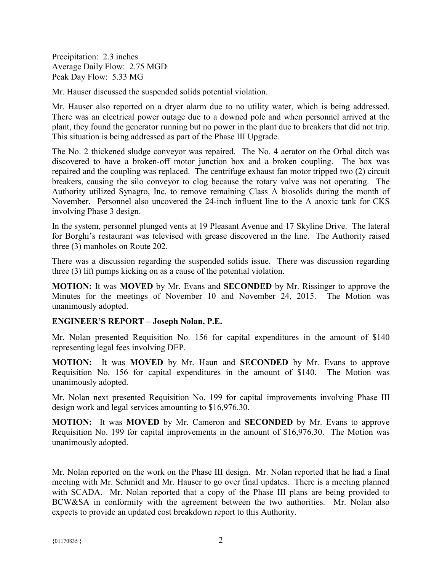Precipitation: 2.3 inches Average Daily Flow: 2.75 MGD Peak Day Flow: 5.33 MG

Mr. Hauser discussed the suspended solids potential violation.

Mr. Hauser also reported on a dryer alarm due to no utility water, which is being addressed. There was an electrical power outage due to a downed pole and when personnel arrived at the plant, they found the generator running but no power in the plant due to breakers that did not trip. This situation is being addressed as part of the Phase III Upgrade.

The No. 2 thickened sludge conveyor was repaired. The No. 4 aerator on the Orbal ditch was discovered to have a broken-off motor junction box and a broken coupling. The box was repaired and the coupling was replaced. The centrifuge exhaust fan motor tripped two (2) circuit breakers, causing the silo conveyor to clog because the rotary valve was not operating. The Authority utilized Synagro, Inc. to remove remaining Class A biosolids during the month of November. Personnel also uncovered the 24-inch influent line to the A anoxic tank for CKS involving Phase 3 design.

In the system, personnel plunged vents at 19 Pleasant Avenue and 17 Skyline Drive. The lateral for Borghi's restaurant was televised with grease discovered in the line. The Authority raised three (3) manholes on Route 202.

There was a discussion regarding the suspended solids issue. There was discussion regarding three (3) lift pumps kicking on as a cause of the potential violation.

**MOTION:** It was **MOVED** by Mr. Evans and **SECONDED** by Mr. Rissinger to approve the Minutes for the meetings of November 10 and November 24, 2015. The Motion was unanimously adopted.

# **ENGINEER'S REPORT – Joseph Nolan, P.E.**

Mr. Nolan presented Requisition No. 156 for capital expenditures in the amount of \$140 representing legal fees involving DEP.

**MOTION:** It was **MOVED** by Mr. Haun and **SECONDED** by Mr. Evans to approve Requisition No. 156 for capital expenditures in the amount of \$140. The Motion was unanimously adopted.

Mr. Nolan next presented Requisition No. 199 for capital improvements involving Phase III design work and legal services amounting to \$16,976.30.

**MOTION:** It was **MOVED** by Mr. Cameron and **SECONDED** by Mr. Evans to approve Requisition No. 199 for capital improvements in the amount of \$16,976.30. The Motion was unanimously adopted.

Mr. Nolan reported on the work on the Phase III design. Mr. Nolan reported that he had a final meeting with Mr. Schmidt and Mr. Hauser to go over final updates. There is a meeting planned with SCADA. Mr. Nolan reported that a copy of the Phase III plans are being provided to BCW&SA in conformity with the agreement between the two authorities. Mr. Nolan also expects to provide an updated cost breakdown report to this Authority.